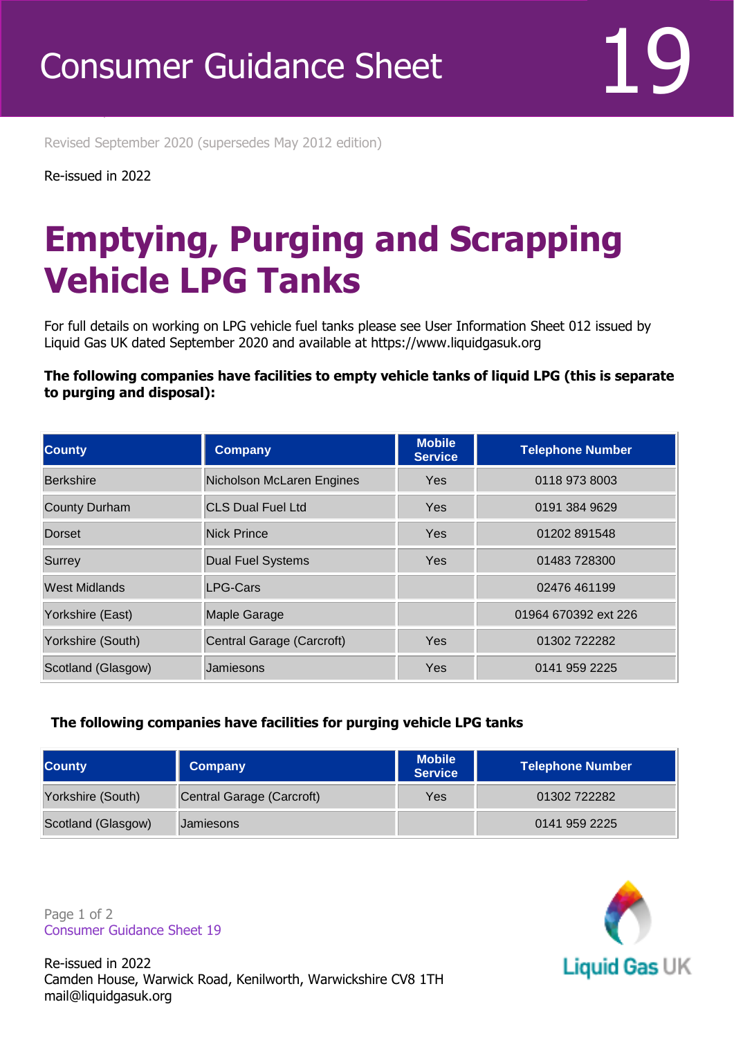Revised September 2020 (supersedes May 2012 edition)

Re-issued in 2022

Revised April 2016

## **Emptying, Purging and Scrapping Vehicle LPG Tanks**

For full details on working on LPG vehicle fuel tanks please see User Information Sheet 012 issued by Liquid Gas UK dated September 2020 and available at https://www.liquidgasuk.org

## **The following companies have facilities to empty vehicle tanks of liquid LPG (this is separate to purging and disposal):**

| <b>County</b>        | <b>Company</b>            | <b>Mobile</b><br><b>Service</b> | <b>Telephone Number</b> |
|----------------------|---------------------------|---------------------------------|-------------------------|
| Berkshire            | Nicholson McLaren Engines | <b>Yes</b>                      | 0118 973 8003           |
| <b>County Durham</b> | <b>CLS Dual Fuel Ltd</b>  | <b>Yes</b>                      | 0191 384 9629           |
| Dorset               | <b>Nick Prince</b>        | <b>Yes</b>                      | 01202 891548            |
| Surrey               | <b>Dual Fuel Systems</b>  | <b>Yes</b>                      | 01483 728300            |
| West Midlands        | <b>LPG-Cars</b>           |                                 | 02476 461199            |
| Yorkshire (East)     | Maple Garage              |                                 | 01964 670392 ext 226    |
| Yorkshire (South)    | Central Garage (Carcroft) | <b>Yes</b>                      | 01302722282             |
| Scotland (Glasgow)   | Jamiesons                 | Yes                             | 0141 959 2225           |

## **The following companies have facilities for purging vehicle LPG tanks**

| <b>County</b>      | Company                   | <b>Mobile</b><br><b>Service</b> | Telephone Number |
|--------------------|---------------------------|---------------------------------|------------------|
| Yorkshire (South)  | Central Garage (Carcroft) | Yes                             | 01302722282      |
| Scotland (Glasgow) | Jamiesons                 |                                 | 0141 959 2225    |

Page 1 of 2 Consumer Guidance Sheet 19